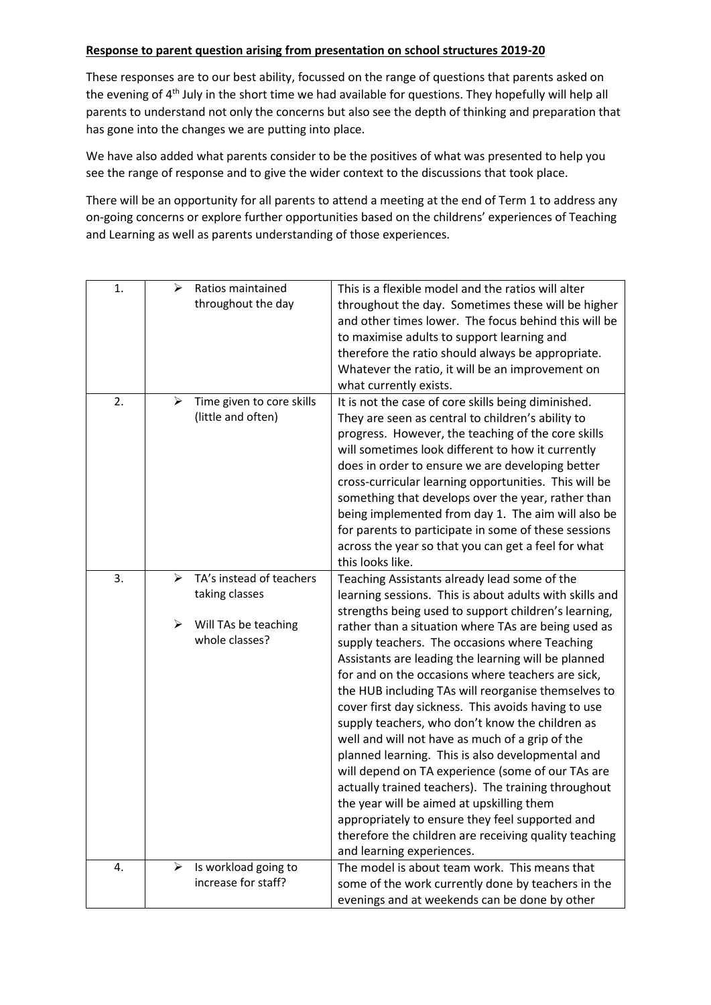## **Response to parent question arising from presentation on school structures 2019-20**

These responses are to our best ability, focussed on the range of questions that parents asked on the evening of 4<sup>th</sup> July in the short time we had available for questions. They hopefully will help all parents to understand not only the concerns but also see the depth of thinking and preparation that has gone into the changes we are putting into place.

We have also added what parents consider to be the positives of what was presented to help you see the range of response and to give the wider context to the discussions that took place.

There will be an opportunity for all parents to attend a meeting at the end of Term 1 to address any on-going concerns or explore further opportunities based on the childrens' experiences of Teaching and Learning as well as parents understanding of those experiences.

| 1. | ➤ | Ratios maintained         | This is a flexible model and the ratios will alter      |
|----|---|---------------------------|---------------------------------------------------------|
|    |   | throughout the day        | throughout the day. Sometimes these will be higher      |
|    |   |                           | and other times lower. The focus behind this will be    |
|    |   |                           | to maximise adults to support learning and              |
|    |   |                           | therefore the ratio should always be appropriate.       |
|    |   |                           | Whatever the ratio, it will be an improvement on        |
|    |   |                           | what currently exists.                                  |
| 2. | ≻ | Time given to core skills | It is not the case of core skills being diminished.     |
|    |   | (little and often)        | They are seen as central to children's ability to       |
|    |   |                           | progress. However, the teaching of the core skills      |
|    |   |                           | will sometimes look different to how it currently       |
|    |   |                           | does in order to ensure we are developing better        |
|    |   |                           | cross-curricular learning opportunities. This will be   |
|    |   |                           | something that develops over the year, rather than      |
|    |   |                           | being implemented from day 1. The aim will also be      |
|    |   |                           | for parents to participate in some of these sessions    |
|    |   |                           | across the year so that you can get a feel for what     |
|    |   |                           | this looks like.                                        |
| 3. | ⋗ | TA's instead of teachers  | Teaching Assistants already lead some of the            |
|    |   | taking classes            | learning sessions. This is about adults with skills and |
|    |   |                           | strengths being used to support children's learning,    |
|    | ➤ | Will TAs be teaching      | rather than a situation where TAs are being used as     |
|    |   | whole classes?            | supply teachers. The occasions where Teaching           |
|    |   |                           | Assistants are leading the learning will be planned     |
|    |   |                           | for and on the occasions where teachers are sick,       |
|    |   |                           | the HUB including TAs will reorganise themselves to     |
|    |   |                           | cover first day sickness. This avoids having to use     |
|    |   |                           | supply teachers, who don't know the children as         |
|    |   |                           | well and will not have as much of a grip of the         |
|    |   |                           | planned learning. This is also developmental and        |
|    |   |                           | will depend on TA experience (some of our TAs are       |
|    |   |                           | actually trained teachers). The training throughout     |
|    |   |                           | the year will be aimed at upskilling them               |
|    |   |                           | appropriately to ensure they feel supported and         |
|    |   |                           | therefore the children are receiving quality teaching   |
|    |   |                           | and learning experiences.                               |
| 4. | ≻ | Is workload going to      | The model is about team work. This means that           |
|    |   | increase for staff?       | some of the work currently done by teachers in the      |
|    |   |                           | evenings and at weekends can be done by other           |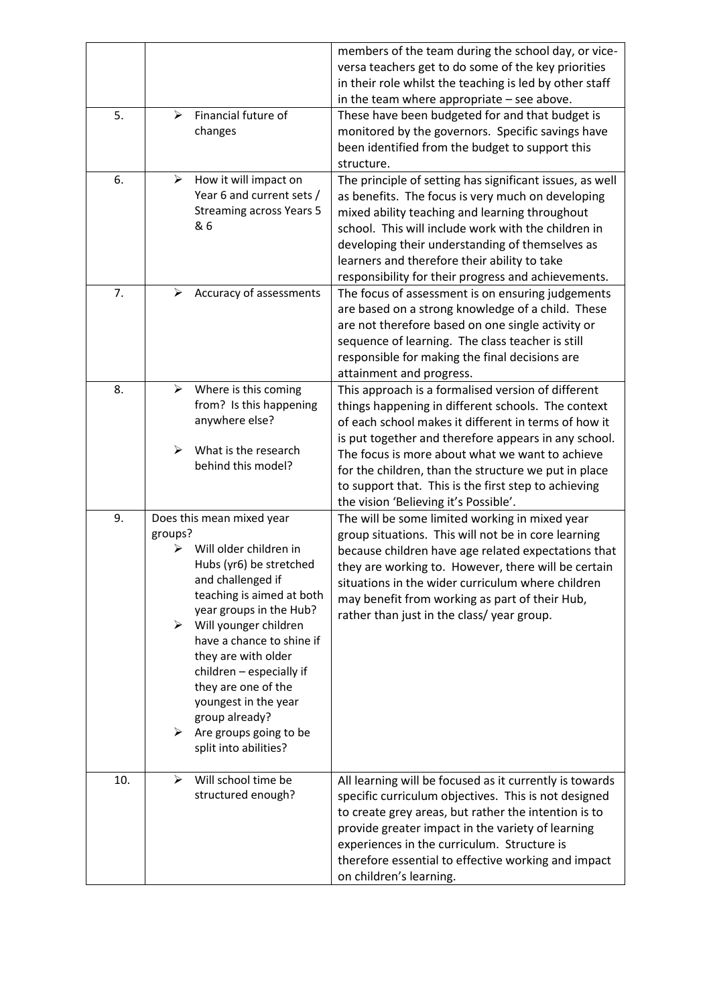|     |                                            |                                                                                                                                                                                                                                                                                                                                                                                          | members of the team during the school day, or vice-<br>versa teachers get to do some of the key priorities<br>in their role whilst the teaching is led by other staff<br>in the team where appropriate $-$ see above.                                                                                                                                                            |
|-----|--------------------------------------------|------------------------------------------------------------------------------------------------------------------------------------------------------------------------------------------------------------------------------------------------------------------------------------------------------------------------------------------------------------------------------------------|----------------------------------------------------------------------------------------------------------------------------------------------------------------------------------------------------------------------------------------------------------------------------------------------------------------------------------------------------------------------------------|
| 5.  | ⋗                                          | Financial future of<br>changes                                                                                                                                                                                                                                                                                                                                                           | These have been budgeted for and that budget is<br>monitored by the governors. Specific savings have<br>been identified from the budget to support this<br>structure.                                                                                                                                                                                                            |
| 6.  | ➤                                          | How it will impact on<br>Year 6 and current sets /<br><b>Streaming across Years 5</b><br>& 6                                                                                                                                                                                                                                                                                             | The principle of setting has significant issues, as well<br>as benefits. The focus is very much on developing<br>mixed ability teaching and learning throughout<br>school. This will include work with the children in<br>developing their understanding of themselves as<br>learners and therefore their ability to take<br>responsibility for their progress and achievements. |
| 7.  | ⋗                                          | Accuracy of assessments                                                                                                                                                                                                                                                                                                                                                                  | The focus of assessment is on ensuring judgements<br>are based on a strong knowledge of a child. These<br>are not therefore based on one single activity or<br>sequence of learning. The class teacher is still<br>responsible for making the final decisions are<br>attainment and progress.                                                                                    |
| 8.  | ≻                                          | Where is this coming<br>from? Is this happening<br>anywhere else?                                                                                                                                                                                                                                                                                                                        | This approach is a formalised version of different<br>things happening in different schools. The context<br>of each school makes it different in terms of how it<br>is put together and therefore appears in any school.                                                                                                                                                         |
|     | $\blacktriangleright$                      | What is the research<br>behind this model?                                                                                                                                                                                                                                                                                                                                               | The focus is more about what we want to achieve<br>for the children, than the structure we put in place<br>to support that. This is the first step to achieving<br>the vision 'Believing it's Possible'.                                                                                                                                                                         |
| 9.  | groups?<br>⋗<br>$\blacktriangleright$<br>➤ | Does this mean mixed year<br>Will older children in<br>Hubs (yr6) be stretched<br>and challenged if<br>teaching is aimed at both<br>year groups in the Hub?<br>Will younger children<br>have a chance to shine if<br>they are with older<br>children - especially if<br>they are one of the<br>youngest in the year<br>group already?<br>Are groups going to be<br>split into abilities? | The will be some limited working in mixed year<br>group situations. This will not be in core learning<br>because children have age related expectations that<br>they are working to. However, there will be certain<br>situations in the wider curriculum where children<br>may benefit from working as part of their Hub,<br>rather than just in the class/year group.          |
| 10. | ⋗                                          | Will school time be<br>structured enough?                                                                                                                                                                                                                                                                                                                                                | All learning will be focused as it currently is towards<br>specific curriculum objectives. This is not designed<br>to create grey areas, but rather the intention is to<br>provide greater impact in the variety of learning<br>experiences in the curriculum. Structure is<br>therefore essential to effective working and impact<br>on children's learning.                    |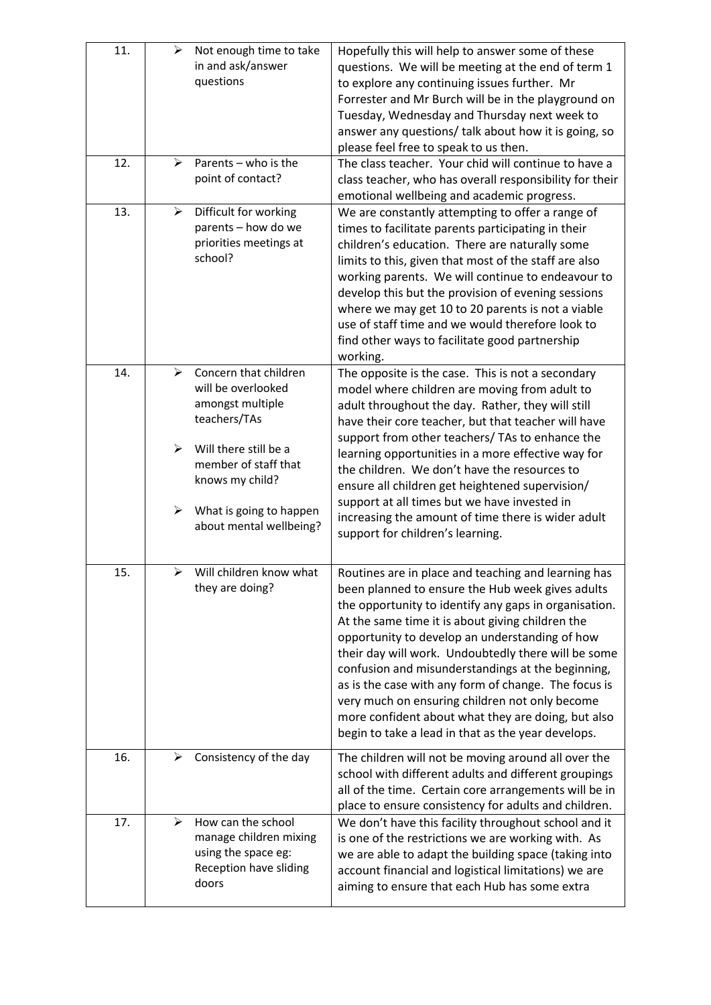| 11. | ≻                               | Not enough time to take<br>in and ask/answer<br>questions                                                                                                                                                 | Hopefully this will help to answer some of these<br>questions. We will be meeting at the end of term 1<br>to explore any continuing issues further. Mr<br>Forrester and Mr Burch will be in the playground on<br>Tuesday, Wednesday and Thursday next week to<br>answer any questions/ talk about how it is going, so<br>please feel free to speak to us then.                                                                                                                                                                                                                                           |
|-----|---------------------------------|-----------------------------------------------------------------------------------------------------------------------------------------------------------------------------------------------------------|----------------------------------------------------------------------------------------------------------------------------------------------------------------------------------------------------------------------------------------------------------------------------------------------------------------------------------------------------------------------------------------------------------------------------------------------------------------------------------------------------------------------------------------------------------------------------------------------------------|
| 12. | ≻                               | Parents - who is the<br>point of contact?                                                                                                                                                                 | The class teacher. Your chid will continue to have a<br>class teacher, who has overall responsibility for their<br>emotional wellbeing and academic progress.                                                                                                                                                                                                                                                                                                                                                                                                                                            |
| 13. | ➤                               | Difficult for working<br>parents - how do we<br>priorities meetings at<br>school?                                                                                                                         | We are constantly attempting to offer a range of<br>times to facilitate parents participating in their<br>children's education. There are naturally some<br>limits to this, given that most of the staff are also<br>working parents. We will continue to endeavour to<br>develop this but the provision of evening sessions<br>where we may get 10 to 20 parents is not a viable<br>use of staff time and we would therefore look to<br>find other ways to facilitate good partnership<br>working.                                                                                                      |
| 14. | ⋗<br>$\blacktriangleright$<br>➤ | Concern that children<br>will be overlooked<br>amongst multiple<br>teachers/TAs<br>Will there still be a<br>member of staff that<br>knows my child?<br>What is going to happen<br>about mental wellbeing? | The opposite is the case. This is not a secondary<br>model where children are moving from adult to<br>adult throughout the day. Rather, they will still<br>have their core teacher, but that teacher will have<br>support from other teachers/ TAs to enhance the<br>learning opportunities in a more effective way for<br>the children. We don't have the resources to<br>ensure all children get heightened supervision/<br>support at all times but we have invested in<br>increasing the amount of time there is wider adult<br>support for children's learning.                                     |
| 15. | ➤                               | Will children know what<br>they are doing?                                                                                                                                                                | Routines are in place and teaching and learning has<br>been planned to ensure the Hub week gives adults<br>the opportunity to identify any gaps in organisation.<br>At the same time it is about giving children the<br>opportunity to develop an understanding of how<br>their day will work. Undoubtedly there will be some<br>confusion and misunderstandings at the beginning,<br>as is the case with any form of change. The focus is<br>very much on ensuring children not only become<br>more confident about what they are doing, but also<br>begin to take a lead in that as the year develops. |
| 16. |                                 | Consistency of the day                                                                                                                                                                                    | The children will not be moving around all over the<br>school with different adults and different groupings<br>all of the time. Certain core arrangements will be in<br>place to ensure consistency for adults and children.                                                                                                                                                                                                                                                                                                                                                                             |
| 17. | ⋗                               | How can the school<br>manage children mixing<br>using the space eg:<br>Reception have sliding<br>doors                                                                                                    | We don't have this facility throughout school and it<br>is one of the restrictions we are working with. As<br>we are able to adapt the building space (taking into<br>account financial and logistical limitations) we are<br>aiming to ensure that each Hub has some extra                                                                                                                                                                                                                                                                                                                              |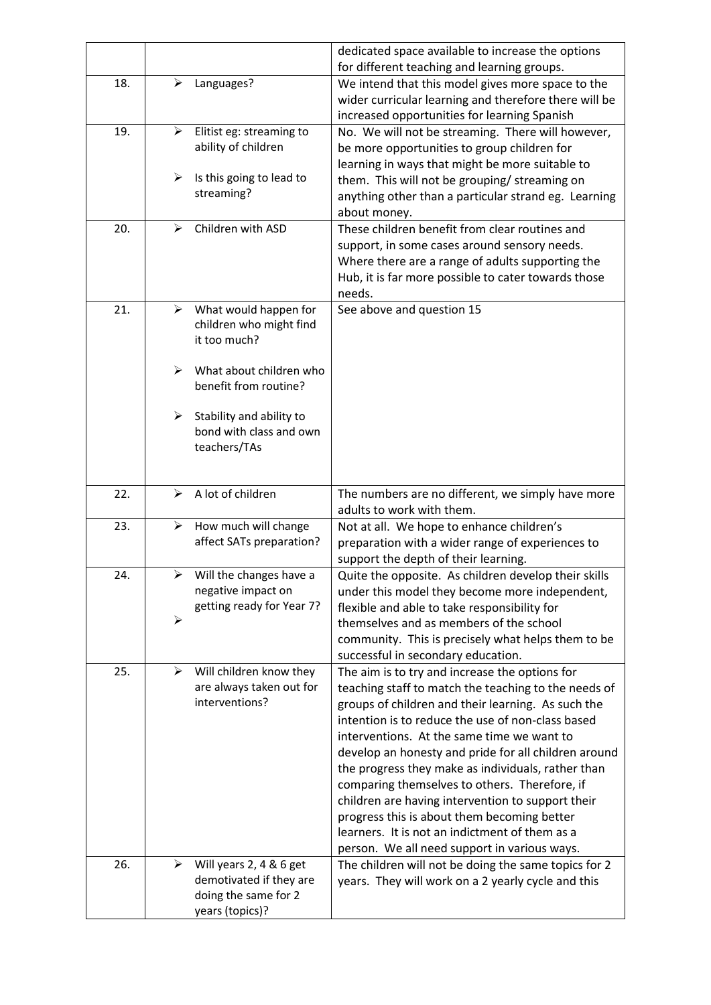|     |                       |                                                                                               | dedicated space available to increase the options<br>for different teaching and learning groups.                                                                                                                                                                                                                                                                                                                                                                                                                                                                                                                                     |
|-----|-----------------------|-----------------------------------------------------------------------------------------------|--------------------------------------------------------------------------------------------------------------------------------------------------------------------------------------------------------------------------------------------------------------------------------------------------------------------------------------------------------------------------------------------------------------------------------------------------------------------------------------------------------------------------------------------------------------------------------------------------------------------------------------|
| 18. | ⋗                     | Languages?                                                                                    | We intend that this model gives more space to the<br>wider curricular learning and therefore there will be<br>increased opportunities for learning Spanish                                                                                                                                                                                                                                                                                                                                                                                                                                                                           |
| 19. | ≻                     | Elitist eg: streaming to<br>ability of children                                               | No. We will not be streaming. There will however,<br>be more opportunities to group children for<br>learning in ways that might be more suitable to                                                                                                                                                                                                                                                                                                                                                                                                                                                                                  |
|     | ➤                     | Is this going to lead to<br>streaming?                                                        | them. This will not be grouping/ streaming on<br>anything other than a particular strand eg. Learning<br>about money.                                                                                                                                                                                                                                                                                                                                                                                                                                                                                                                |
| 20. | ⋗                     | Children with ASD                                                                             | These children benefit from clear routines and<br>support, in some cases around sensory needs.<br>Where there are a range of adults supporting the<br>Hub, it is far more possible to cater towards those<br>needs.                                                                                                                                                                                                                                                                                                                                                                                                                  |
| 21. | ⋗                     | What would happen for<br>children who might find<br>it too much?                              | See above and question 15                                                                                                                                                                                                                                                                                                                                                                                                                                                                                                                                                                                                            |
|     | ⋗                     | What about children who<br>benefit from routine?                                              |                                                                                                                                                                                                                                                                                                                                                                                                                                                                                                                                                                                                                                      |
|     | ➤                     | Stability and ability to<br>bond with class and own<br>teachers/TAs                           |                                                                                                                                                                                                                                                                                                                                                                                                                                                                                                                                                                                                                                      |
| 22. | ≻                     | A lot of children                                                                             | The numbers are no different, we simply have more<br>adults to work with them.                                                                                                                                                                                                                                                                                                                                                                                                                                                                                                                                                       |
| 23. | ➤                     | How much will change<br>affect SATs preparation?                                              | Not at all. We hope to enhance children's<br>preparation with a wider range of experiences to<br>support the depth of their learning.                                                                                                                                                                                                                                                                                                                                                                                                                                                                                                |
| 24. |                       | $\triangleright$ Will the changes have a<br>negative impact on<br>getting ready for Year 7?   | Quite the opposite. As children develop their skills<br>under this model they become more independent,<br>flexible and able to take responsibility for                                                                                                                                                                                                                                                                                                                                                                                                                                                                               |
|     | $\blacktriangleright$ |                                                                                               | themselves and as members of the school<br>community. This is precisely what helps them to be<br>successful in secondary education.                                                                                                                                                                                                                                                                                                                                                                                                                                                                                                  |
| 25. | ≻                     | Will children know they<br>are always taken out for<br>interventions?                         | The aim is to try and increase the options for<br>teaching staff to match the teaching to the needs of<br>groups of children and their learning. As such the<br>intention is to reduce the use of non-class based<br>interventions. At the same time we want to<br>develop an honesty and pride for all children around<br>the progress they make as individuals, rather than<br>comparing themselves to others. Therefore, if<br>children are having intervention to support their<br>progress this is about them becoming better<br>learners. It is not an indictment of them as a<br>person. We all need support in various ways. |
| 26. | ➤                     | Will years 2, 4 & 6 get<br>demotivated if they are<br>doing the same for 2<br>years (topics)? | The children will not be doing the same topics for 2<br>years. They will work on a 2 yearly cycle and this                                                                                                                                                                                                                                                                                                                                                                                                                                                                                                                           |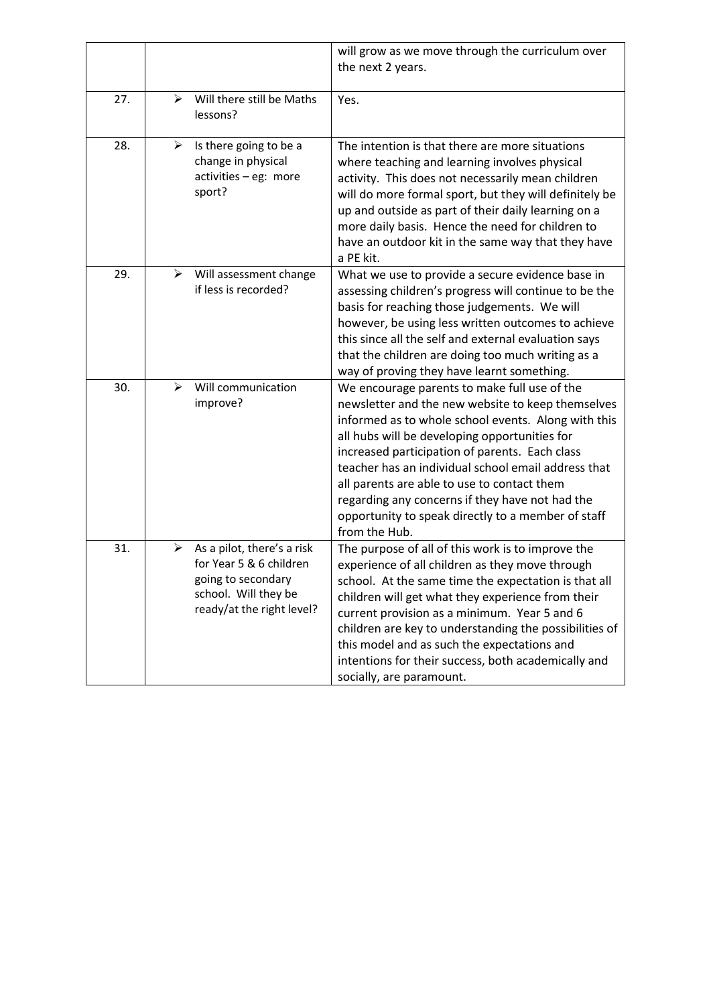|     |   |                                                                                                                                  | will grow as we move through the curriculum over<br>the next 2 years.                                                                                                                                                                                                                                                                                                                                                                                                                       |
|-----|---|----------------------------------------------------------------------------------------------------------------------------------|---------------------------------------------------------------------------------------------------------------------------------------------------------------------------------------------------------------------------------------------------------------------------------------------------------------------------------------------------------------------------------------------------------------------------------------------------------------------------------------------|
| 27. | ⋗ | Will there still be Maths<br>lessons?                                                                                            | Yes.                                                                                                                                                                                                                                                                                                                                                                                                                                                                                        |
| 28. | ⋗ | Is there going to be a<br>change in physical<br>activities - eg: more<br>sport?                                                  | The intention is that there are more situations<br>where teaching and learning involves physical<br>activity. This does not necessarily mean children<br>will do more formal sport, but they will definitely be<br>up and outside as part of their daily learning on a<br>more daily basis. Hence the need for children to<br>have an outdoor kit in the same way that they have<br>a PE kit.                                                                                               |
| 29. | ≻ | Will assessment change<br>if less is recorded?                                                                                   | What we use to provide a secure evidence base in<br>assessing children's progress will continue to be the<br>basis for reaching those judgements. We will<br>however, be using less written outcomes to achieve<br>this since all the self and external evaluation says<br>that the children are doing too much writing as a<br>way of proving they have learnt something.                                                                                                                  |
| 30. | ➤ | Will communication<br>improve?                                                                                                   | We encourage parents to make full use of the<br>newsletter and the new website to keep themselves<br>informed as to whole school events. Along with this<br>all hubs will be developing opportunities for<br>increased participation of parents. Each class<br>teacher has an individual school email address that<br>all parents are able to use to contact them<br>regarding any concerns if they have not had the<br>opportunity to speak directly to a member of staff<br>from the Hub. |
| 31. | ⋗ | As a pilot, there's a risk<br>for Year 5 & 6 children<br>going to secondary<br>school. Will they be<br>ready/at the right level? | The purpose of all of this work is to improve the<br>experience of all children as they move through<br>school. At the same time the expectation is that all<br>children will get what they experience from their<br>current provision as a minimum. Year 5 and 6<br>children are key to understanding the possibilities of<br>this model and as such the expectations and<br>intentions for their success, both academically and<br>socially, are paramount.                               |